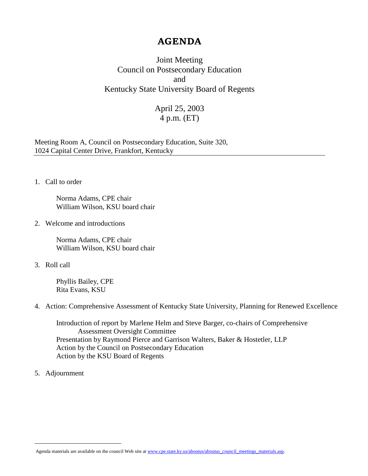## **AGENDA**

Joint Meeting Council on Postsecondary Education and Kentucky State University Board of Regents

## April 25, 2003 4 p.m. (ET)

Meeting Room A, Council on Postsecondary Education, Suite 320, 1024 Capital Center Drive, Frankfort, Kentucky

1. Call to order

Norma Adams, CPE chair William Wilson, KSU board chair

2. Welcome and introductions

Norma Adams, CPE chair William Wilson, KSU board chair

3. Roll call

Phyllis Bailey, CPE Rita Evans, KSU

4. Action: Comprehensive Assessment of Kentucky State University, Planning for Renewed Excellence

Introduction of report by Marlene Helm and Steve Barger, co-chairs of Comprehensive Assessment Oversight Committee Presentation by Raymond Pierce and Garrison Walters, Baker & Hostetler, LLP Action by the Council on Postsecondary Education Action by the KSU Board of Regents

5. Adjournment

 $\overline{a}$ 

Agenda materials are available on the council Web site a[t www.cpe.state.ky.us/aboutus/aboutus\\_council\\_meetings\\_materials.asp.](http://www.cpe.state.ky.us/aboutus/aboutus_council_meetings_materials.asp)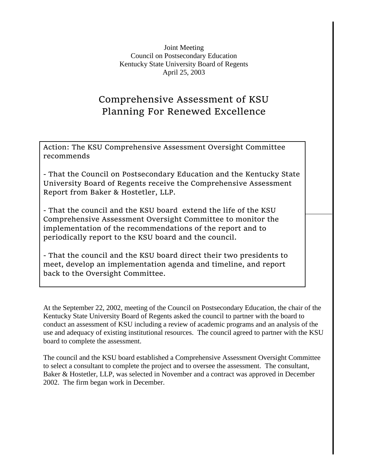Joint Meeting Council on Postsecondary Education Kentucky State University Board of Regents April 25, 2003

## Comprehensive Assessment of KSU Planning For Renewed Excellence

Action: The KSU Comprehensive Assessment Oversight Committee recommends

- That the Council on Postsecondary Education and the Kentucky State University Board of Regents receive the Comprehensive Assessment Report from Baker & Hostetler, LLP.

- That the council and the KSU board extend the life of the KSU Comprehensive Assessment Oversight Committee to monitor the implementation of the recommendations of the report and to periodically report to the KSU board and the council.

- That the council and the KSU board direct their two presidents to meet, develop an implementation agenda and timeline, and report back to the Oversight Committee.

At the September 22, 2002, meeting of the Council on Postsecondary Education, the chair of the Kentucky State University Board of Regents asked the council to partner with the board to conduct an assessment of KSU including a review of academic programs and an analysis of the use and adequacy of existing institutional resources. The council agreed to partner with the KSU board to complete the assessment.

The council and the KSU board established a Comprehensive Assessment Oversight Committee to select a consultant to complete the project and to oversee the assessment. The consultant, Baker & Hostetler, LLP, was selected in November and a contract was approved in December 2002. The firm began work in December.